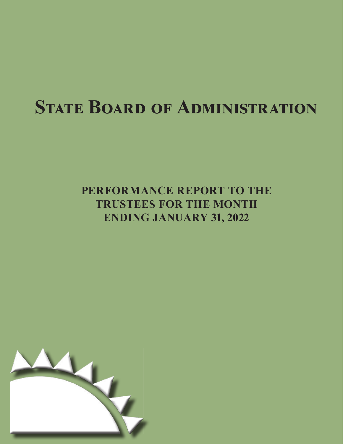# **STATE BOARD OF ADMINISTRATION**

## **PERFORMANCE REPORT TO THE TRUSTEES FOR THE MONTH ENDING JANUARY 31, 2022**

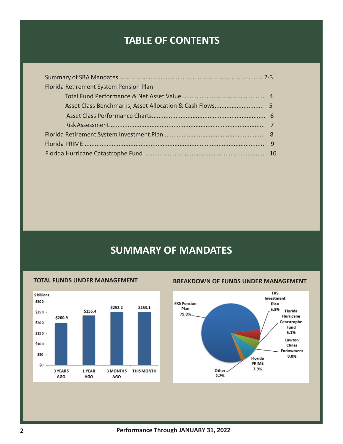### **TABLE OF CONTENTS**

| Florida Retirement System Pension Plan |  |
|----------------------------------------|--|
|                                        |  |
|                                        |  |
|                                        |  |
|                                        |  |
|                                        |  |
|                                        |  |
|                                        |  |

## **SUMMARY OF MANDATES**



### **TOTAL FUNDS UNDER MANAGEMENT BREAKDOWN OF FUNDS UNDER MANAGEMENT**

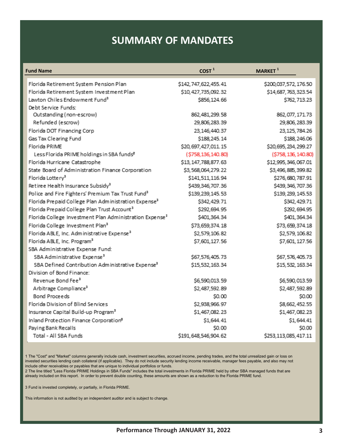### **SUMMARY OF MANDATES**

| <b>Fund Name</b>                                                    | COST <sup>1</sup>       | MARKET <sup>1</sup>  |
|---------------------------------------------------------------------|-------------------------|----------------------|
| Florida Retirement System Pension Plan                              | \$142,747,622,455.41    | \$200,037,572,176.50 |
| Florida Retirement System Investment Plan                           | \$10,427,735,092.32     | \$14,687,763,323.54  |
| Lawton Chiles Endowment Fund <sup>3</sup>                           | \$856,124.66            | \$762,713.23         |
| Debt Service Funds:                                                 |                         |                      |
| Outstanding (non-escrow)                                            | 862,481,299.58          | 862,077,171.73       |
| Refunded (escrow)                                                   | 29,806,283.39           | 29,806,283.39        |
| Florida DOT Financing Corp                                          | 23,146,440.37           | 23,125,784.26        |
| Gas Tax Clearing Fund                                               | \$188,245.14            | \$188,246.06         |
| Florida PRIME                                                       | \$20,697,427,011.15     | \$20,695,234,299.27  |
| Less Florida PRIME holdings in SBA funds <sup>2</sup>               | ( \$758, 136, 140.80)   | (\$758, 136, 140.80) |
| Florida Hurricane Catastrophe                                       | \$13, 147, 788, 877. 63 | \$12,995,346,067.01  |
| State Board of Administration Finance Corporation                   | \$3,568,064,279.22      | \$3,496,885,399.82   |
| Florida Lottery <sup>3</sup>                                        | \$141,511,116.94        | \$276,680,787.91     |
| Retiree Health Insurance Subsidy <sup>3</sup>                       | \$439,346,707.36        | \$439,346,707.36     |
| Police and Fire Fighters' Premium Tax Trust Fund <sup>3</sup>       | \$139,239,145.53        | \$139, 239, 145.53   |
| Florida Prepaid College Plan Administration Expense <sup>3</sup>    | \$342,429.71            | \$342,429.71         |
| Florida Prepaid College Plan Trust Account <sup>3</sup>             | \$292,694.95            | \$292,694.95         |
| Florida College Investment Plan Administration Expense <sup>3</sup> | \$401,364.34            | \$401,364.34         |
| Florida College Investment Plan <sup>3</sup>                        | \$73,659,374.18         | \$73,659,374.18      |
| Florida ABLE, Inc. Administrative Expense <sup>3</sup>              | \$2,579,106.82          | \$2,579,106.82       |
| Florida ABLE, Inc. Program <sup>3</sup>                             | \$7,601,127.56          | \$7,601, 127.56      |
| SBA Administrative Expense Fund:                                    |                         |                      |
| SBA Administrative Expense <sup>3</sup>                             | \$67,576,405.73         | \$67,576,405.73      |
| SBA Defined Contribution Administrative Expense <sup>3</sup>        | \$15,532,163.34         | \$15,532,163.34      |
| Division of Bond Finance:                                           |                         |                      |
| Revenue Bond Fee <sup>3</sup>                                       | \$6,590,013.59          | \$6,590,013.59       |
| Arbitrage Compliance <sup>3</sup>                                   | \$2,487,592.89          | \$2,487,592.89       |
| <b>Bond Proceeds</b>                                                | \$0.00                  | \$0.00               |
| Florida Division of Blind Services                                  | \$2,938,966.97          | \$8,662,452.55       |
| Insurance Capital Build-up Program <sup>3</sup>                     | \$1,467,082.23          | \$1,467,082.23       |
| Inland Protection Finance Corporation <sup>8</sup>                  | \$1,644.41              | \$1,644.41           |
| Paying Bank Recalls                                                 | \$0.00                  | \$0.00               |
| Total - All SBA Funds                                               | \$191,648,546,904.62    | \$253,113,085,417.11 |

1 The "Cost" and "Market" columns generally include cash, investment securities, accrued income, pending trades, and the total unrealized gain or loss on invested securities lending cash collateral (if applicable). They do not include security lending income receivable, manager fees payable, and also may not include other receivables or payables that are unique to individual portfolios or funds.

2 The line titled "Less Florida PRIME Holdings in SBA Funds" includes the total investments in Florida PRIME held by other SBA managed funds that are already included on this report. In order to prevent double counting, these amounts are shown as a reduction to the Florida PRIME fund.

3 Fund is invested completely, or partially, in Florida PRIME.

This information is not audited by an independent auditor and is subject to change.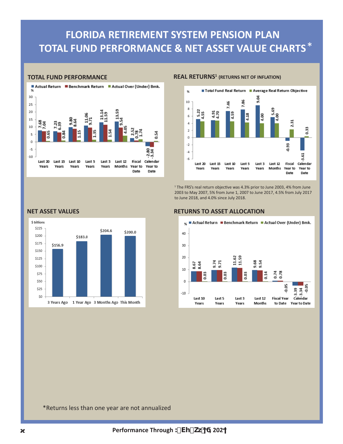## **FLORIDA RETIREMENT SYSTEM PENSION PLAN TOTAL FUND PERFORMANCE & NET ASSET VALUE CHARTS** \*



#### **TOTAL FUND PERFORMANCE REAL RETURNS<sup>1</sup> (RETURNS NET OF INFLATION)**



<sup>1</sup> The FRS's real return objective was 4.3% prior to June 2003, 4% from June 2003 to May 2007, 5% from June 1, 2007 to June 2017, 4.5% from July 2017 to June 2018, and 4.0% since July 2018.



#### **NET ASSET VALUES RETURNS TO ASSET ALLOCATION**



#### Actual Return Benchmark Return Actual Over (Under) Bmk. oz,

\*Returns less than one year are not annualized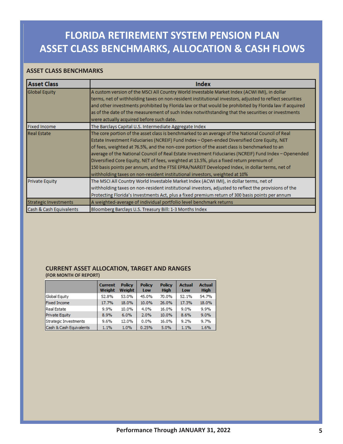## **FLORIDA RETIREMENT SYSTEM PENSION PLAN ASSET CLASS BENCHMARKS, ALLOCATION & CASH FLOWS**

### **ASSET CLASS BENCHMARKS**

| <b>Asset Class</b>           | Index                                                                                                                                                                                                                                                                                                                                                                                                                                                                                                                                                                                                                                                                              |
|------------------------------|------------------------------------------------------------------------------------------------------------------------------------------------------------------------------------------------------------------------------------------------------------------------------------------------------------------------------------------------------------------------------------------------------------------------------------------------------------------------------------------------------------------------------------------------------------------------------------------------------------------------------------------------------------------------------------|
| <b>Global Equity</b>         | A custom version of the MSCI All Country World Investable Market Index (ACWI IMI), in dollar<br>terms, net of withholding taxes on non-resident institutional investors, adjusted to reflect securities<br>and other investments prohibited by Florida law or that would be prohibited by Florida law if acquired<br>as of the date of the measurement of such Index notwithstanding that the securities or investments<br>were actually acquired before such date.                                                                                                                                                                                                                |
| <b>Fixed Income</b>          | The Barclays Capital U.S. Intermediate Aggregate Index                                                                                                                                                                                                                                                                                                                                                                                                                                                                                                                                                                                                                             |
| <b>Real Estate</b>           | The core portion of the asset class is benchmarked to an average of the National Council of Real<br>Estate Investment Fiduciaries (NCREIF) Fund Index - Open-ended Diversified Core Equity, NET<br>of fees, weighted at 76.5%, and the non-core portion of the asset class is benchmarked to an<br>average of the National Council of Real Estate Investment Fiduciaries (NCREIF) Fund Index - Openended<br>Diversified Core Equity, NET of fees, weighted at 13.5%, plus a fixed return premium of<br>150 basis points per annum, and the FTSE EPRA/NAREIT Developed Index, in dollar terms, net of<br>withholding taxes on non-resident institutional investors, weighted at 10% |
| <b>Private Equity</b>        | The MSCI All Country World Investable Market Index (ACWI IMI), in dollar terms, net of<br>withholding taxes on non-resident institutional investors, adjusted to reflect the provisions of the<br>Protecting Florida's Investments Act, plus a fixed premium return of 300 basis points per annum                                                                                                                                                                                                                                                                                                                                                                                  |
| <b>Strategic Investments</b> | A weighted-average of individual portfolio level benchmark returns                                                                                                                                                                                                                                                                                                                                                                                                                                                                                                                                                                                                                 |
| Cash & Cash Equivalents      | Bloomberg Barclays U.S. Treasury Bill: 1-3 Months Index                                                                                                                                                                                                                                                                                                                                                                                                                                                                                                                                                                                                                            |

#### **CURRENT ASSET ALLOCATION, TARGET AND RANGES (FOR MONTH OF REPORT)**

|                         | <b>Current</b><br><b>Weight</b> | <b>Policy</b><br><b>Weight</b> | <b>Policy</b><br>Low | <b>Policy</b><br><b>High</b> | <b>Actual</b><br>Low | <b>Actual</b><br><b>High</b> |
|-------------------------|---------------------------------|--------------------------------|----------------------|------------------------------|----------------------|------------------------------|
| Global Equity           | 52.8%                           | 53.0%                          | 45.0%                | 70.0%                        | 52.1%                | 54.7%                        |
| <b>Fixed Income</b>     | 17.7%                           | 18.0%                          | 10.0%                | 26.0%                        | 17.3%                | 18.0%                        |
| Real Estate             | 9.9%                            | 10.0%                          | 4.0%                 | 16.0%                        | 9.0%                 | 9.9%                         |
| <b>Private Equity</b>   | 8.9%                            | 6.0%                           | 2.0%                 | 10.0%                        | 8.6%                 | 9.0%                         |
| Strategic Investments   | 9.6%                            | 12.0%                          | 0.0%                 | 16.0%                        | 9.2%                 | 9.7%                         |
| Cash & Cash Equivalents | 1.1%                            | 1.0%                           | 0.25%                | 5.0%                         | 1.1%                 | 1.6%                         |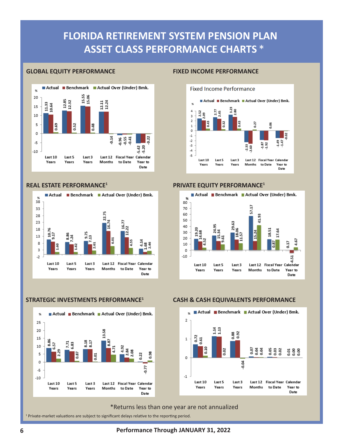## **FLORIDA RETIREMENT SYSTEM PENSION PLAN ASSET CLASS PERFORMANCE CHARTS** \*

#### **GLOBAL EQUITY PERFORMANCE FIXED INCOME PERFORMANCE**



#### **REAL ESTATE PERFORMANCE1**



#### **STRATEGIC INVESTMENTS PERFORMANCE1**





#### **PRIVATE EQUITY PERFORMANCE1**



#### **CASH & CASH EQUIVALENTS PERFORMANCE**



#### \*Returns less than one year are not annualized

<sup>1</sup> Private-market valuations are subject to significant delays relative to the reporting period.

**6 Performance Through JANUARY 31, 2022**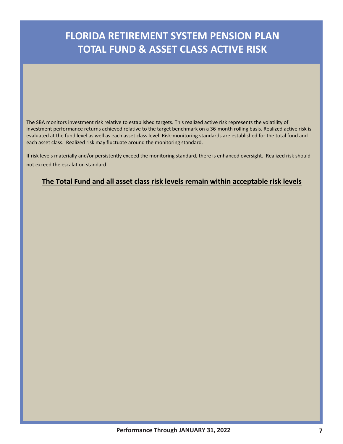## **FLORIDA RETIREMENT SYSTEM PENSION PLAN TOTAL FUND & ASSET CLASS ACTIVE RISK**

The SBA monitors investment risk relative to established targets. This realized active risk represents the volatility of investment performance returns achieved relative to the target benchmark on a 36-month rolling basis. Realized active risk is evaluated at the fund level as well as each asset class level. Risk-monitoring standards are established for the total fund and each asset class. Realized risk may fluctuate around the monitoring standard.

If risk levels materially and/or persistently exceed the monitoring standard, there is enhanced oversight. Realized risk should not exceed the escalation standard.

### **The Total Fund and all asset class risk levels remain within acceptable risk levels**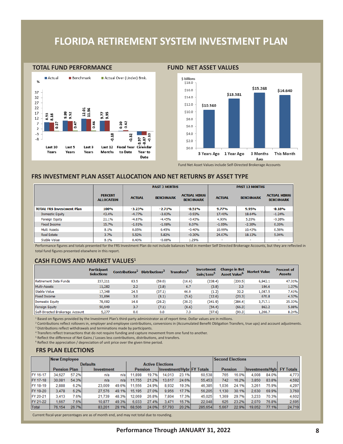### **FLORIDA RETIREMENT SYSTEM INVESTMENT PLAN**





Fund Net Asset Values include Self-Directed Brokerage Accounts

#### **FRS INVESTMENT PLAN ASSET ALLOCATION AND NET RETURNS BY ASSET TYPE**

|                                  |                                     |               | <b>PAST 3 MONTHS</b> |                                         | <b>PAST 12 MONTHS</b> |                  |                                         |  |  |
|----------------------------------|-------------------------------------|---------------|----------------------|-----------------------------------------|-----------------------|------------------|-----------------------------------------|--|--|
|                                  | <b>PERCENT</b><br><b>ALLOCATION</b> | <b>ACTUAL</b> | <b>BENCHMARK</b>     | <b>ACTUAL MINUS</b><br><b>BENCHMARK</b> | <b>ACTUAL</b>         | <b>BENCHMARK</b> | <b>ACTUAL MINUS</b><br><b>BENCHMARK</b> |  |  |
| <b>TOTAL FRS Investment Plan</b> | <b>100%</b>                         | $-3.23%$      | $-2.71%$             | $-0.51%$                                | 9.77%                 | 9.95%            | $-0.18%$                                |  |  |
| <b>Domestic Equity</b>           | 43.4%                               | $-4.77%$      | $-3.83%$             | $-0.93%$                                | 17.40%                | 18.64%           | $-1.24%$                                |  |  |
| <b>Foreign Equity</b>            | 21.1%                               | $-4.87%$      | $-4.45%$             | $-0.43%$                                | 4.93%                 | 5.20%            | $-0.26%$                                |  |  |
| Fixed Income                     | 15.7%                               | $-1.91%$      | $-1.98%$             | 0.07%                                   | $-1.95%$              | $-2.30%$         | 0.35%                                   |  |  |
| Multi Assets                     | 8.1%                                | 0.05%         | 0.45%                | $-0.40%$                                | 10.99%                | 10.43%           | 0.56%                                   |  |  |
| <b>Real Estate</b>               | 3.7%                                | 5.52%         | 5.82%                | $-0.30%$                                | 24.07%                | 18.13%           | 5.94%                                   |  |  |
| Stable Value                     | 8.1%                                | 0.40%         | $-0.88%$             | 1.29%                                   | ٠                     | ٠                | -                                       |  |  |

Performance figures and totals presented for the FRS Investment Plan do not include balances held in member Self Directed Brokerage Accounts, but they are reflected in total fund figures presented elsewhere in this report.

#### **CASH FLOWS AND MARKET VALUES<sup>1</sup>**

|                                 | <b>Participant</b><br><b>Selections</b> | Contributions <sup>2</sup> | <b>Distributions</b> <sup>3</sup> | Transfers <sup>4</sup> | <b>Investment</b><br>Gain/Loss <sup>3</sup> | <b>Change in Net</b><br>Asset Value <sup>6</sup> | <b>Market Value</b> | <b>Percent of</b><br><b>Assets</b> |
|---------------------------------|-----------------------------------------|----------------------------|-----------------------------------|------------------------|---------------------------------------------|--------------------------------------------------|---------------------|------------------------------------|
| <b>Retirement Date Funds</b>    | 237,211                                 | 83.5                       | (59.0)                            | (16.6)                 | (238.4)                                     | (230.5)                                          | 6,942.1             | 47.31%                             |
| Multi-Assets                    | 11,282                                  | 2.2                        | (2.8)                             | 6.7                    | (3.8)                                       | 2.3                                              | 186.6               | 1.27%                              |
| Stable Value                    | 17,348                                  | 24.5                       | (37.1)                            | 46.0                   | (1.2)                                       | 32.2                                             | 1,087.5             | 7.41%                              |
| <b>Fixed Income</b>             | 31,894                                  | 3.0                        | (8.1)                             | (5.6)                  | (12.6)                                      | (23.3)                                           | 670.8               | 4.57%                              |
| <b>Domestic Equity</b>          | 78,092                                  | 14.9                       | (28.2)                            | (29.2)                 | (241.9)                                     | (284.4)                                          | 3,717.1             | 25.33%                             |
| <b>Foreign Equity</b>           | 50,949                                  | 3.7                        | (7.1)                             | (8.6)                  | (54.4)                                      | (66.3)                                           | 862.2               | 5.88%                              |
| Self-Directed Brokerage Account | 5,277                                   | 0.0                        | 0.0                               | 7.3                    | (97.6)                                      | (90.3)                                           | 1,208.7             | 8.24%                              |

<sup>1</sup> Based on figures provided by the Investment Plan's third-party administrator as of report time. Dollar values are in millions.

2 Contributions reflect rollovers in, employer and employee contributions, conversions in (Accumulated Benefit Obligation Transfers, true ups) and account adjustments. <sup>3</sup> Distributions reflect withdrawals and terminations made by participants.

4 Transfers reflect transactions that do not require funding and capture movement from one fund to another.

<sup>5</sup> Reflect the difference of Net Gains / Losses less contributions, distributions, and transfers.

<sup>6</sup> Reflect the appreciation / depreciation of unit price over the given time period.

#### **FRS PLAN ELECTIONS**

|          | <b>New Employee</b>               |       |                 |       |                                                    |       |                         |       |                |       | <b>Second Elections</b>    |        |       |        |
|----------|-----------------------------------|-------|-----------------|-------|----------------------------------------------------|-------|-------------------------|-------|----------------|-------|----------------------------|--------|-------|--------|
|          |                                   |       | <b>Defaults</b> |       |                                                    |       | <b>Active Elections</b> |       |                |       |                            |        |       |        |
|          | <b>Pension Plan</b><br>Investment |       |                 |       | <b>Investment/HybrIFY Totals</b><br><b>Pension</b> |       |                         |       | <b>Pension</b> |       | Investments/Hybl FY Totals |        |       |        |
| FY 16-17 | 34.627                            | 57.2% | n/a             | n/a   | 11.898                                             | 19.7% | 14.013                  | 23.1% | 60,538         | 765   | 16.0%                      | 4.008  | 84.0% | 4.773  |
| FY 17-18 | 30.081                            | 54.3% | n/a             | n/al  | 11.755                                             | 21.2% | 13.617                  | 24.6% | 55.453         | 742   | 16.2%                      | 3.850  | 83.8% | 4,592  |
| FY 18-19 | 2.888                             | 6.2%  | 23,009          | 49.6% | 11.556                                             | 24.9% | 8.932                   | 19.3% | 46,385         | .036  | 24.1%                      | 3.261  | 75.9% | 4.297  |
| FY 19-20 | 3.478                             | 6.2%  | 27,576          | 49.1% | 15.195                                             | 27.0% | 9.956                   | 17.7% | 56,205         | 1.130 | 30.1%                      | 2.630  | 69.9% | 3,760  |
| FY 20-21 | 3.413                             | 7.6%  | 21.739          | 48.3% | 12.069                                             | 26.8% | 7.804                   | 17.3% | 45.025         | .369  | 29.7%                      | 3.233  | 70.3% | 4.602  |
| FY 21-22 | 1.667                             | 7.6%  | 10.877          | 49.3% | 6.033                                              | 27.4% | 3.471                   | 15.7% | 22,048         | 625   | 23.2%                      | 2.070  | 76.8% | 2,695  |
| Total    | 76.154                            | 26.7% | 83.201          | 29.1% | 68.506                                             | 24.0% | 57.793                  | 20.2% | 285.654        | 5.667 | 22.9%                      | 19.052 | 77.1% | 24,719 |

Current fiscal-year percentages are as of month end, and may not total due to rounding.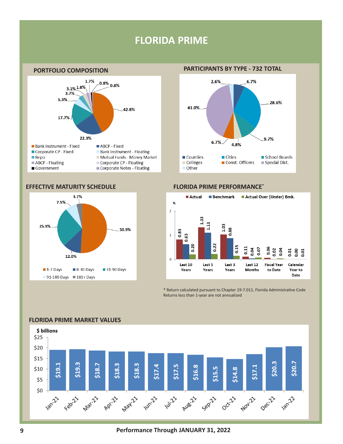### **FLORIDA PRIME**



#### **EFFECTIVE MATURITY SCHEDULE FLORIDA PRIME PERFORMANCE\***



### **PORTFOLIO COMPOSITION PARTICIPANTS BY TYPE - 732 TOTAL**





\* Return calculated pursuant to Chapter 19-7.011, Florida Administrative Code Returns less than 1-year are not annualized



### **FLORIDA PRIME MARKET VALUES**